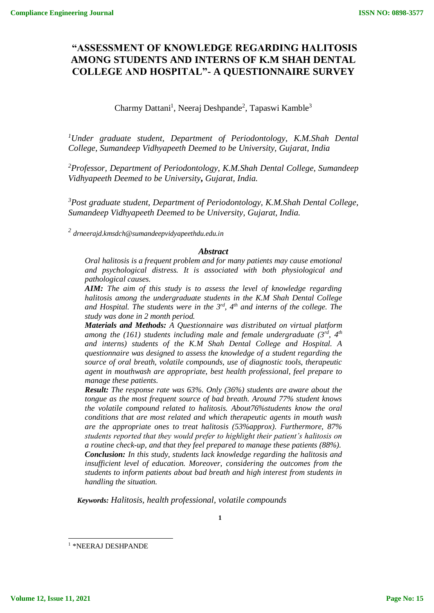# **"ASSESSMENT OF KNOWLEDGE REGARDING HALITOSIS AMONG STUDENTS AND INTERNS OF K.M SHAH DENTAL COLLEGE AND HOSPITAL"- A QUESTIONNAIRE SURVEY**

Charmy Dattani<sup>1</sup>, Neeraj Deshpande<sup>2</sup>, Tapaswi Kamble<sup>3</sup>

*<sup>1</sup>Under graduate student, Department of Periodontology, K.M.Shah Dental College, Sumandeep Vidhyapeeth Deemed to be University, Gujarat, India*

*<sup>2</sup>Professor, Department of Periodontology, K.M.Shah Dental College, Sumandeep Vidhyapeeth Deemed to be University***,** *Gujarat, India.*

*<sup>3</sup>Post graduate student, Department of Periodontology, K.M.Shah Dental College, Sumandeep Vidhyapeeth Deemed to be University, Gujarat, India.*

*2 drneerajd.kmsdch@sumandeepvidyapeethdu.edu.in*

#### *Abstract*

*Oral halitosis is a frequent problem and for many patients may cause emotional and psychological distress. It is associated with both physiological and pathological causes.*

*AIM: The aim of this study is to assess the level of knowledge regarding halitosis among the undergraduate students in the K.M Shah Dental College and Hospital. The students were in the 3rd, 4th and interns of the college. The study was done in 2 month period.*

*Materials and Methods: A Questionnaire was distributed on virtual platform among the (161) students including male and female undergraduate (3rd, 4th and interns) students of the K.M Shah Dental College and Hospital. A questionnaire was designed to assess the knowledge of a student regarding the source of oral breath, volatile compounds, use of diagnostic tools, therapeutic agent in mouthwash are appropriate, best health professional, feel prepare to manage these patients.*

*Result: The response rate was 63%. Only (36%) students are aware about the tongue as the most frequent source of bad breath. Around 77% student knows the volatile compound related to halitosis. About76%students know the oral conditions that are most related and which therapeutic agents in mouth wash are the appropriate ones to treat halitosis (53%approx). Furthermore, 87% students reported that they would prefer to highlight their patient's halitosis on a routine check-up, and that they feel prepared to manage these patients (88%). Conclusion: In this study, students lack knowledge regarding the halitosis and insufficient level of education. Moreover, considering the outcomes from the students to inform patients about bad breath and high interest from students in handling the situation.*

*Keywords: Halitosis, health professional, volatile compounds*

**1**

l

<sup>1</sup> \*NEERAJ DESHPANDE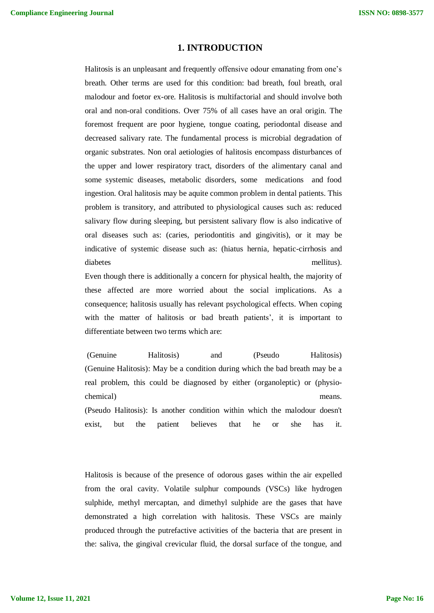### **1. INTRODUCTION**

Halitosis is an unpleasant and frequently offensive odour emanating from one's breath. Other terms are used for this condition: bad breath, foul breath, oral malodour and foetor ex-ore. Halitosis is multifactorial and should involve both oral and non-oral conditions. Over 75% of all cases have an oral origin. The foremost frequent are poor hygiene, tongue coating, periodontal disease and decreased salivary rate. The fundamental process is microbial degradation of organic substrates. Non oral aetiologies of halitosis encompass disturbances of the upper and lower respiratory tract, disorders of the alimentary canal and some systemic diseases, metabolic disorders, some medications and food ingestion. Oral halitosis may be aquite common problem in dental patients. This problem is transitory, and attributed to physiological causes such as: reduced salivary flow during sleeping, but persistent salivary flow is also indicative of oral diseases such as: (caries, periodontitis and gingivitis), or it may be indicative of systemic disease such as: (hiatus hernia, hepatic-cirrhosis and diabetes mellitus).

Even though there is additionally a concern for physical health, the majority of these affected are more worried about the social implications. As a consequence; halitosis usually has relevant psychological effects. When coping with the matter of halitosis or bad breath patients', it is important to differentiate between two terms which are:

(Genuine Halitosis) and (Pseudo Halitosis) (Genuine Halitosis): May be a condition during which the bad breath may be a real problem, this could be diagnosed by either (organoleptic) or (physiochemical) means. (Pseudo Halitosis): Is another condition within which the malodour doesn't exist, but the patient believes that he or she has it.

Halitosis is because of the presence of odorous gases within the air expelled from the oral cavity. Volatile sulphur compounds (VSCs) like hydrogen sulphide, methyl mercaptan, and dimethyl sulphide are the gases that have demonstrated a high correlation with halitosis. These VSCs are mainly produced through the putrefactive activities of the bacteria that are present in the: saliva, the gingival crevicular fluid, the dorsal surface of the tongue, and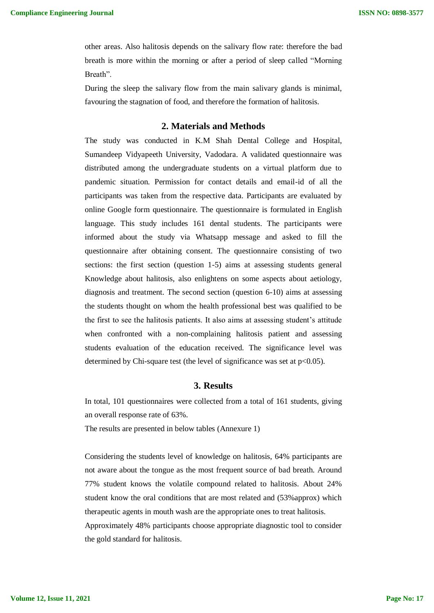other areas. Also halitosis depends on the salivary flow rate: therefore the bad breath is more within the morning or after a period of sleep called "Morning Breath".

During the sleep the salivary flow from the main salivary glands is minimal, favouring the stagnation of food, and therefore the formation of halitosis.

#### **2. Materials and Methods**

The study was conducted in K.M Shah Dental College and Hospital, Sumandeep Vidyapeeth University, Vadodara. A validated questionnaire was distributed among the undergraduate students on a virtual platform due to pandemic situation. Permission for contact details and email-id of all the participants was taken from the respective data. Participants are evaluated by online Google form questionnaire. The questionnaire is formulated in English language. This study includes 161 dental students. The participants were informed about the study via Whatsapp message and asked to fill the questionnaire after obtaining consent. The questionnaire consisting of two sections: the first section (question 1-5) aims at assessing students general Knowledge about halitosis, also enlightens on some aspects about aetiology, diagnosis and treatment. The second section (question 6-10) aims at assessing the students thought on whom the health professional best was qualified to be the first to see the halitosis patients. It also aims at assessing student's attitude when confronted with a non-complaining halitosis patient and assessing students evaluation of the education received. The significance level was determined by Chi-square test (the level of significance was set at  $p<0.05$ ).

#### **3. Results**

In total, 101 questionnaires were collected from a total of 161 students, giving an overall response rate of 63%.

The results are presented in below tables (Annexure 1)

Considering the students level of knowledge on halitosis, 64% participants are not aware about the tongue as the most frequent source of bad breath. Around 77% student knows the volatile compound related to halitosis. About 24% student know the oral conditions that are most related and (53%approx) which therapeutic agents in mouth wash are the appropriate ones to treat halitosis. Approximately 48% participants choose appropriate diagnostic tool to consider

the gold standard for halitosis.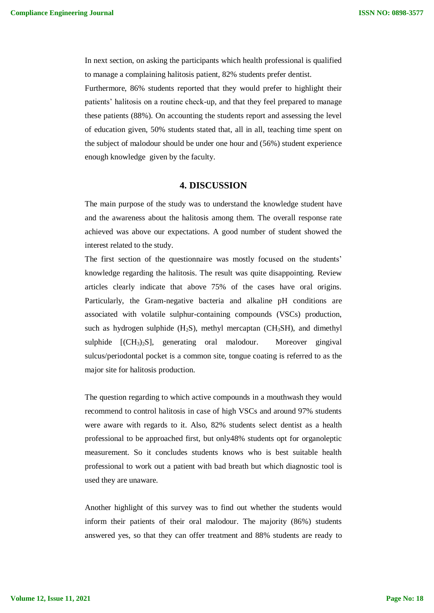In next section, on asking the participants which health professional is qualified to manage a complaining halitosis patient, 82% students prefer dentist.

Furthermore, 86% students reported that they would prefer to highlight their patients' halitosis on a routine check-up, and that they feel prepared to manage these patients (88%). On accounting the students report and assessing the level of education given, 50% students stated that, all in all, teaching time spent on the subject of malodour should be under one hour and (56%) student experience enough knowledge given by the faculty.

#### **4. DISCUSSION**

The main purpose of the study was to understand the knowledge student have and the awareness about the halitosis among them. The overall response rate achieved was above our expectations. A good number of student showed the interest related to the study.

The first section of the questionnaire was mostly focused on the students' knowledge regarding the halitosis. The result was quite disappointing. Review articles clearly indicate that above 75% of the cases have oral origins. Particularly, the Gram-negative bacteria and alkaline pH conditions are associated with volatile sulphur-containing compounds (VSCs) production, such as hydrogen sulphide  $(H_2S)$ , methyl mercaptan  $(CH_3SH)$ , and dimethyl sulphide  $[(CH_3)_2S]$ , generating oral malodour. Moreover gingival sulcus/periodontal pocket is a common site, tongue coating is referred to as the major site for halitosis production.

The question regarding to which active compounds in a mouthwash they would recommend to control halitosis in case of high VSCs and around 97% students were aware with regards to it. Also, 82% students select dentist as a health professional to be approached first, but only48% students opt for organoleptic measurement. So it concludes students knows who is best suitable health professional to work out a patient with bad breath but which diagnostic tool is used they are unaware.

Another highlight of this survey was to find out whether the students would inform their patients of their oral malodour. The majority (86%) students answered yes, so that they can offer treatment and 88% students are ready to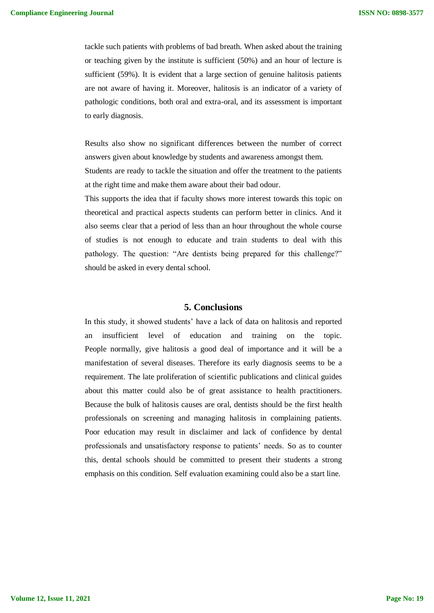tackle such patients with problems of bad breath. When asked about the training or teaching given by the institute is sufficient (50%) and an hour of lecture is sufficient (59%). It is evident that a large section of genuine halitosis patients are not aware of having it. Moreover, halitosis is an indicator of a variety of pathologic conditions, both oral and extra-oral, and its assessment is important to early diagnosis.

Results also show no significant differences between the number of correct answers given about knowledge by students and awareness amongst them. Students are ready to tackle the situation and offer the treatment to the patients

at the right time and make them aware about their bad odour.

This supports the idea that if faculty shows more interest towards this topic on theoretical and practical aspects students can perform better in clinics. And it also seems clear that a period of less than an hour throughout the whole course of studies is not enough to educate and train students to deal with this pathology. The question: "Are dentists being prepared for this challenge?" should be asked in every dental school.

#### **5. Conclusions**

In this study, it showed students' have a lack of data on halitosis and reported an insufficient level of education and training on the topic. People normally, give halitosis a good deal of importance and it will be a manifestation of several diseases. Therefore its early diagnosis seems to be a requirement. The late proliferation of scientific publications and clinical guides about this matter could also be of great assistance to health practitioners. Because the bulk of halitosis causes are oral, dentists should be the first health professionals on screening and managing halitosis in complaining patients. Poor education may result in disclaimer and lack of confidence by dental professionals and unsatisfactory response to patients' needs. So as to counter this, dental schools should be committed to present their students a strong emphasis on this condition. Self evaluation examining could also be a start line.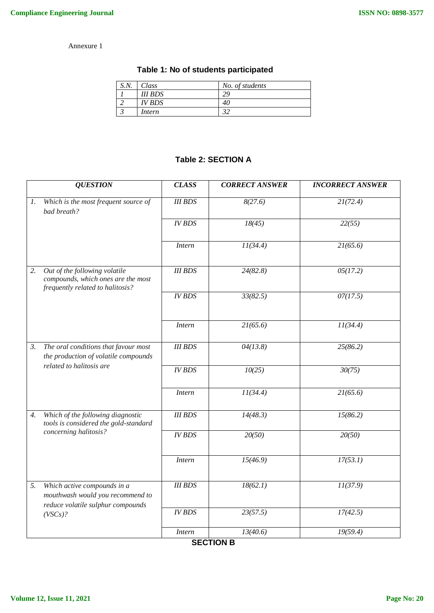### Annexure 1

| Table 1: No of students participated |
|--------------------------------------|
|--------------------------------------|

| S.N. | $\bigcap$ ass | No. of students |
|------|---------------|-----------------|
|      | III BDS       |                 |
|      | IV BDS        |                 |
|      | Intern        |                 |

## **Table 2: SECTION A**

|                 | <b>QUESTION</b>                                                                                          | <b>CLASS</b>   | <b>CORRECT ANSWER</b> | <b>INCORRECT ANSWER</b> |  |
|-----------------|----------------------------------------------------------------------------------------------------------|----------------|-----------------------|-------------------------|--|
| $\mathfrak{1}.$ | Which is the most frequent source of<br>bad breath?                                                      | <b>III BDS</b> | 8(27.6)               | 21(72.4)                |  |
|                 |                                                                                                          | <b>IV BDS</b>  | 18(45)                | 22(55)                  |  |
|                 |                                                                                                          | <b>Intern</b>  | 11(34.4)              | 21(65.6)                |  |
| 2.              | Out of the following volatile<br>compounds, which ones are the most<br>frequently related to halitosis?  | <b>III BDS</b> | 24(82.8)              | 05(17.2)                |  |
|                 |                                                                                                          | <b>IV BDS</b>  | 33(82.5)              | 07(17.5)                |  |
|                 |                                                                                                          | <b>Intern</b>  | 21(65.6)              | 11(34.4)                |  |
| 3.              | The oral conditions that favour most<br>the production of volatile compounds<br>related to halitosis are | <b>III BDS</b> | 04(13.8)              | 25(86.2)                |  |
|                 |                                                                                                          | <b>IV BDS</b>  | 10(25)                | 30(75)                  |  |
|                 |                                                                                                          | <b>Intern</b>  | 11(34.4)              | 21(65.6)                |  |
| 4.              | Which of the following diagnostic<br>tools is considered the gold-standard<br>concerning halitosis?      | <b>III BDS</b> | 14(48.3)              | 15(86.2)                |  |
|                 |                                                                                                          | <b>IV BDS</b>  | 20(50)                | 20(50)                  |  |
|                 |                                                                                                          | <b>Intern</b>  | 15(46.9)              | 17(53.1)                |  |
| 5.              | Which active compounds in a<br>mouthwash would you recommend to<br>reduce volatile sulphur compounds     | <b>III BDS</b> | 18(62.1)              | 11(37.9)                |  |
|                 | (VSCs)?                                                                                                  | <b>IV BDS</b>  | 23(57.5)              | 17(42.5)                |  |
|                 |                                                                                                          | <b>Intern</b>  | 13(40.6)              | 19(59.4)                |  |

**SECTION B**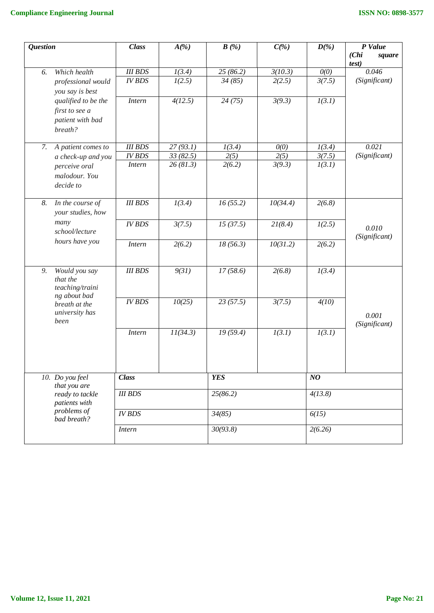| <b>Question</b> |                                                                                                   | <b>Class</b>       | $A(\%)$  | B(%)       | $C(\%)$  | $D(\%)$             | P Value                  |
|-----------------|---------------------------------------------------------------------------------------------------|--------------------|----------|------------|----------|---------------------|--------------------------|
|                 |                                                                                                   |                    |          |            |          |                     | (Chi)<br>square<br>test) |
| 6.              | Which health                                                                                      | <b>III BDS</b>     | 1(3.4)   | 25(86.2)   | 3(10.3)  | O(0)                | 0.046                    |
|                 | professional would                                                                                | <b>IV BDS</b>      | 1(2.5)   | 34(85)     | 2(2.5)   | 3(7.5)              | (Significant)            |
|                 | you say is best                                                                                   |                    |          |            |          |                     |                          |
|                 | qualified to be the                                                                               | <b>Intern</b>      | 4(12.5)  | 24(75)     | 3(9.3)   | $\overline{I(3.1)}$ |                          |
|                 | first to see a                                                                                    |                    |          |            |          |                     |                          |
|                 | patient with bad                                                                                  |                    |          |            |          |                     |                          |
|                 | breath?                                                                                           |                    |          |            |          |                     |                          |
| 7.              | A patient comes to                                                                                | <b>III BDS</b>     | 27(93.1) | 1(3.4)     | O(0)     | 1(3.4)              | 0.021                    |
|                 | a check-up and you                                                                                | <b>IV BDS</b>      | 33(82.5) | 2(5)       | 2(5)     | 3(7.5)              | (Significant)            |
|                 | perceive oral                                                                                     | <b>Intern</b>      | 26(81.3) | 2(6.2)     | 3(9.3)   | 1(3.1)              |                          |
|                 | malodour. You                                                                                     |                    |          |            |          |                     |                          |
|                 | decide to                                                                                         |                    |          |            |          |                     |                          |
|                 |                                                                                                   |                    |          |            |          |                     |                          |
| 8.              | In the course of                                                                                  | <b>III BDS</b>     | 1(3.4)   | 16(55.2)   | 10(34.4) | 2(6.8)              |                          |
|                 | your studies, how<br>many<br>school/lecture<br>hours have you                                     |                    |          |            |          |                     |                          |
|                 |                                                                                                   | <b>IV BDS</b>      | 3(7.5)   | 15(37.5)   | 21(8.4)  | 1(2.5)              | 0.010<br>(Significant)   |
|                 |                                                                                                   |                    |          |            |          |                     |                          |
|                 |                                                                                                   | <b>Intern</b>      | 2(6.2)   | 18(56.3)   | 10(31.2) | 2(6.2)              |                          |
|                 |                                                                                                   |                    |          |            |          |                     |                          |
| 9.              | Would you say                                                                                     | <b>III BDS</b>     | 9(31)    | 17(58.6)   | 2(6.8)   | 1(3.4)              |                          |
|                 | that the                                                                                          |                    |          |            |          |                     |                          |
|                 | teaching/traini                                                                                   |                    |          |            |          |                     |                          |
|                 | ng about bad                                                                                      | <b>IV BDS</b>      | 10(25)   | 23(57.5)   | 3(7.5)   | 4(10)               |                          |
|                 | breath at the<br>university has                                                                   |                    |          |            |          |                     |                          |
|                 | been                                                                                              |                    |          |            |          |                     | 0.001                    |
|                 |                                                                                                   | <b>Intern</b>      | 11(34.3) | 19(59.4)   | I(3.1)   | $\overline{I(3.1)}$ | (Significant)            |
|                 |                                                                                                   |                    |          |            |          |                     |                          |
|                 |                                                                                                   |                    |          |            |          |                     |                          |
|                 |                                                                                                   |                    |          |            |          |                     |                          |
|                 |                                                                                                   | $\overline{Class}$ |          | <b>YES</b> |          | NQ                  |                          |
|                 | 10. Do you feel<br>that you are<br>ready to tackle<br>patients with<br>problems of<br>bad breath? |                    |          |            |          |                     |                          |
|                 |                                                                                                   | <b>III BDS</b>     |          | 25(86.2)   |          | 4(13.8)             |                          |
|                 |                                                                                                   |                    |          |            |          |                     |                          |
|                 |                                                                                                   | <b>IV BDS</b>      |          | 34(85)     |          | 6(15)               |                          |
|                 |                                                                                                   | <b>Intern</b>      |          | 30(93.8)   |          | 2(6.26)             |                          |
|                 |                                                                                                   |                    |          |            |          |                     |                          |